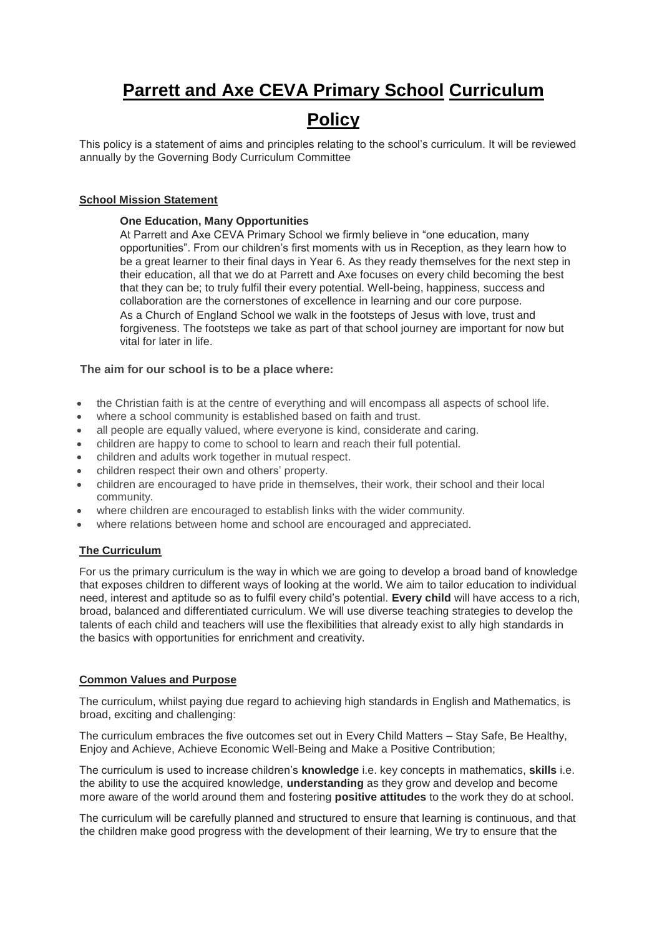# **Parrett and Axe CEVA Primary School Curriculum**

# **Policy**

This policy is a statement of aims and principles relating to the school's curriculum. It will be reviewed annually by the Governing Body Curriculum Committee

# **School Mission Statement**

# **One Education, Many Opportunities**

At Parrett and Axe CEVA Primary School we firmly believe in "one education, many opportunities". From our children's first moments with us in Reception, as they learn how to be a great learner to their final days in Year 6. As they ready themselves for the next step in their education, all that we do at Parrett and Axe focuses on every child becoming the best that they can be; to truly fulfil their every potential. Well-being, happiness, success and collaboration are the cornerstones of excellence in learning and our core purpose. As a Church of England School we walk in the footsteps of Jesus with love, trust and forgiveness. The footsteps we take as part of that school journey are important for now but vital for later in life.

# **The aim for our school is to be a place where:**

- the Christian faith is at the centre of everything and will encompass all aspects of school life.
- where a school community is established based on faith and trust.
- all people are equally valued, where everyone is kind, considerate and caring.
- children are happy to come to school to learn and reach their full potential.
- children and adults work together in mutual respect.
- children respect their own and others' property.
- children are encouraged to have pride in themselves, their work, their school and their local community.
- where children are encouraged to establish links with the wider community.
- where relations between home and school are encouraged and appreciated.

# **The Curriculum**

For us the primary curriculum is the way in which we are going to develop a broad band of knowledge that exposes children to different ways of looking at the world. We aim to tailor education to individual need, interest and aptitude so as to fulfil every child's potential. **Every child** will have access to a rich, broad, balanced and differentiated curriculum. We will use diverse teaching strategies to develop the talents of each child and teachers will use the flexibilities that already exist to ally high standards in the basics with opportunities for enrichment and creativity.

## **Common Values and Purpose**

The curriculum, whilst paying due regard to achieving high standards in English and Mathematics, is broad, exciting and challenging:

The curriculum embraces the five outcomes set out in Every Child Matters – Stay Safe, Be Healthy, Enjoy and Achieve, Achieve Economic Well-Being and Make a Positive Contribution;

The curriculum is used to increase children's **knowledge** i.e. key concepts in mathematics, **skills** i.e. the ability to use the acquired knowledge, **understanding** as they grow and develop and become more aware of the world around them and fostering **positive attitudes** to the work they do at school.

The curriculum will be carefully planned and structured to ensure that learning is continuous, and that the children make good progress with the development of their learning, We try to ensure that the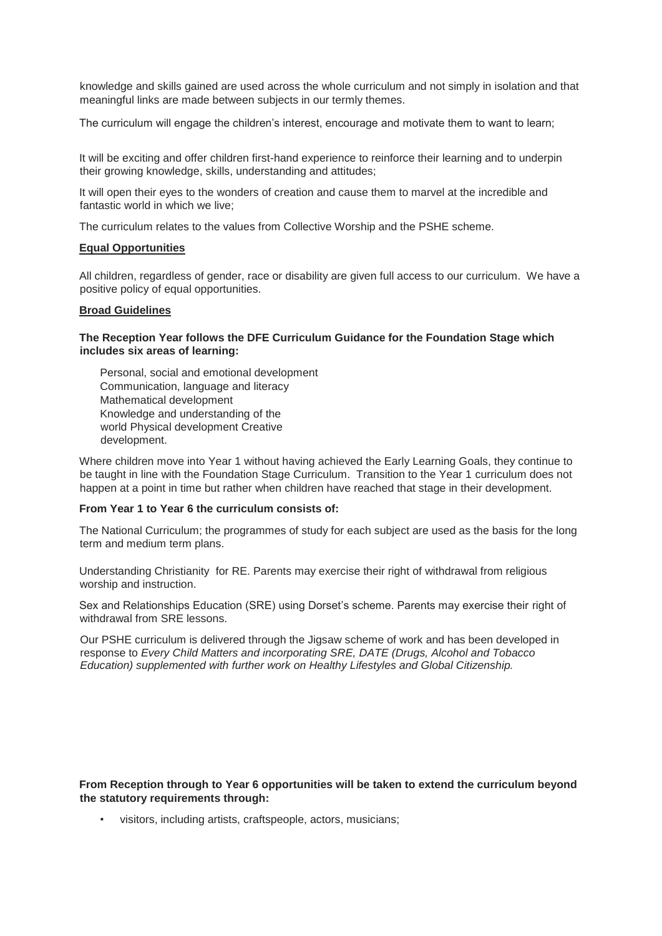knowledge and skills gained are used across the whole curriculum and not simply in isolation and that meaningful links are made between subjects in our termly themes.

The curriculum will engage the children's interest, encourage and motivate them to want to learn;

It will be exciting and offer children first-hand experience to reinforce their learning and to underpin their growing knowledge, skills, understanding and attitudes;

It will open their eyes to the wonders of creation and cause them to marvel at the incredible and fantastic world in which we live;

The curriculum relates to the values from Collective Worship and the PSHE scheme.

#### **Equal Opportunities**

All children, regardless of gender, race or disability are given full access to our curriculum. We have a positive policy of equal opportunities.

## **Broad Guidelines**

#### **The Reception Year follows the DFE Curriculum Guidance for the Foundation Stage which includes six areas of learning:**

Personal, social and emotional development Communication, language and literacy Mathematical development Knowledge and understanding of the world Physical development Creative development.

Where children move into Year 1 without having achieved the Early Learning Goals, they continue to be taught in line with the Foundation Stage Curriculum. Transition to the Year 1 curriculum does not happen at a point in time but rather when children have reached that stage in their development.

#### **From Year 1 to Year 6 the curriculum consists of:**

The National Curriculum; the programmes of study for each subject are used as the basis for the long term and medium term plans.

Understanding Christianity for RE. Parents may exercise their right of withdrawal from religious worship and instruction.

Sex and Relationships Education (SRE) using Dorset's scheme. Parents may exercise their right of withdrawal from SRE lessons.

Our PSHE curriculum is delivered through the Jigsaw scheme of work and has been developed in response to *Every Child Matters and incorporating SRE, DATE (Drugs, Alcohol and Tobacco Education) supplemented with further work on Healthy Lifestyles and Global Citizenship.* 

**From Reception through to Year 6 opportunities will be taken to extend the curriculum beyond the statutory requirements through:** 

• visitors, including artists, craftspeople, actors, musicians;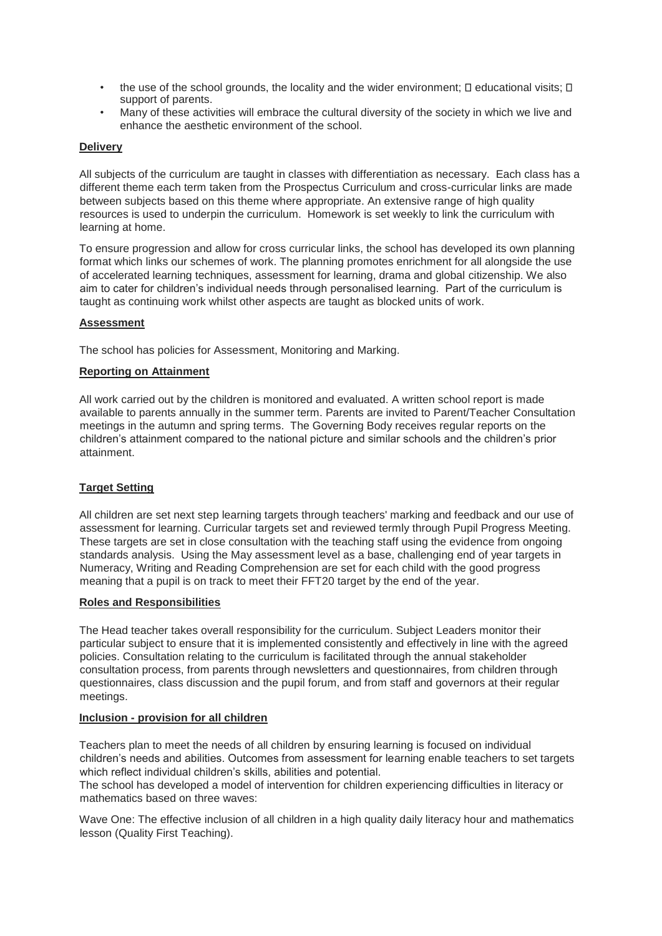- the use of the school grounds, the locality and the wider environment;  $\square$  educational visits;  $\square$ support of parents.
- Many of these activities will embrace the cultural diversity of the society in which we live and enhance the aesthetic environment of the school.

# **Delivery**

All subjects of the curriculum are taught in classes with differentiation as necessary. Each class has a different theme each term taken from the Prospectus Curriculum and cross-curricular links are made between subjects based on this theme where appropriate. An extensive range of high quality resources is used to underpin the curriculum. Homework is set weekly to link the curriculum with learning at home.

To ensure progression and allow for cross curricular links, the school has developed its own planning format which links our schemes of work. The planning promotes enrichment for all alongside the use of accelerated learning techniques, assessment for learning, drama and global citizenship. We also aim to cater for children's individual needs through personalised learning. Part of the curriculum is taught as continuing work whilst other aspects are taught as blocked units of work.

## **Assessment**

The school has policies for Assessment, Monitoring and Marking.

#### **Reporting on Attainment**

All work carried out by the children is monitored and evaluated. A written school report is made available to parents annually in the summer term. Parents are invited to Parent/Teacher Consultation meetings in the autumn and spring terms. The Governing Body receives regular reports on the children's attainment compared to the national picture and similar schools and the children's prior attainment.

## **Target Setting**

All children are set next step learning targets through teachers' marking and feedback and our use of assessment for learning. Curricular targets set and reviewed termly through Pupil Progress Meeting. These targets are set in close consultation with the teaching staff using the evidence from ongoing standards analysis. Using the May assessment level as a base, challenging end of year targets in Numeracy, Writing and Reading Comprehension are set for each child with the good progress meaning that a pupil is on track to meet their FFT20 target by the end of the year.

#### **Roles and Responsibilities**

The Head teacher takes overall responsibility for the curriculum. Subject Leaders monitor their particular subject to ensure that it is implemented consistently and effectively in line with the agreed policies. Consultation relating to the curriculum is facilitated through the annual stakeholder consultation process, from parents through newsletters and questionnaires, from children through questionnaires, class discussion and the pupil forum, and from staff and governors at their regular meetings.

#### **Inclusion - provision for all children**

Teachers plan to meet the needs of all children by ensuring learning is focused on individual children's needs and abilities. Outcomes from assessment for learning enable teachers to set targets which reflect individual children's skills, abilities and potential.

The school has developed a model of intervention for children experiencing difficulties in literacy or mathematics based on three waves:

Wave One: The effective inclusion of all children in a high quality daily literacy hour and mathematics lesson (Quality First Teaching).